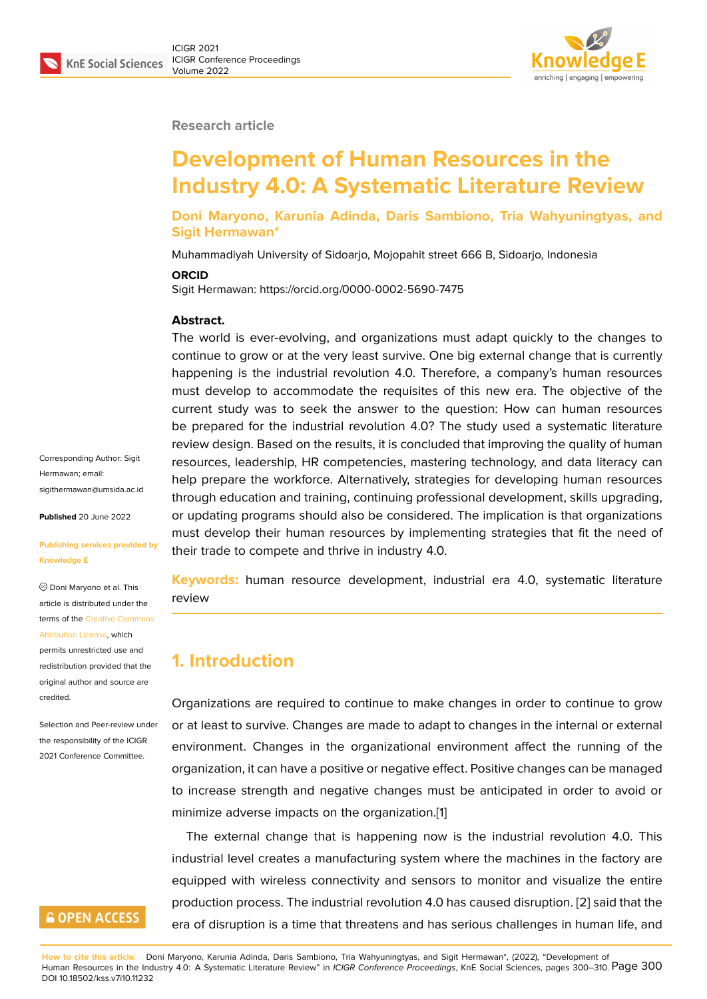#### **Research article**

# **Development of Human Resources in the Industry 4.0: A Systematic Literature Review**

**Doni Maryono, Karunia Adinda, Daris Sambiono, Tria Wahyuningtyas, and Sigit Hermawan\***

Muhammadiyah University of Sidoarjo, Mojopahit street 666 B, Sidoarjo, Indonesia

#### **ORCID**

Sigit Hermawan: https://orcid.org/0000-0002-5690-7475

#### **Abstract.**

The world is ever-evolving, and organizations must adapt quickly to the changes to continue to grow or at the very least survive. One big external change that is currently happening is the industrial revolution 4.0. Therefore, a company's human resources must develop to accommodate the requisites of this new era. The objective of the current study was to seek the answer to the question: How can human resources be prepared for the industrial revolution 4.0? The study used a systematic literature review design. Based on the results, it is concluded that improving the quality of human resources, leadership, HR competencies, mastering technology, and data literacy can help prepare the workforce. Alternatively, strategies for developing human resources through education and training, continuing professional development, skills upgrading, or updating programs should also be considered. The implication is that organizations must develop their human resources by implementing strategies that fit the need of their trade to compete and thrive in industry 4.0.

**Keywords:** human resource development, industrial era 4.0, systematic literature review

### **1. Introduction**

Organizations are required to continue to make changes in order to continue to grow or at least to survive. Changes are made to adapt to changes in the internal or external environment. Changes in the organizational environment affect the running of the organization, it can have a positive or negative effect. Positive changes can be managed to increase strength and negative changes must be anticipated in order to avoid or minimize adverse impacts on the organization.[1]

The external change that is happening now is the industrial revolution 4.0. This industrial level creates a manufacturing system where the machines in the factory are equipped with wireless connectivity and sens[o](#page-8-0)rs to monitor and visualize the entire production process. The industrial revolution 4.0 has caused disruption. [2] said that the era of disruption is a time that threatens and has serious challenges in human life, and

Corresponding Author: Sigit Hermawan; email: sigithermawan@umsida.ac.id

**Published** 20 June 2022

#### **[Publishing services provided](mailto:sigithermawan@umsida.ac.id) by Knowledge E**

Doni Maryono et al. This article is distributed under the terms of the Creative Commons Attribution License, which

permits unrestricted use and redistribution provided that the original auth[or and source are](https://creativecommons.org/licenses/by/4.0/) [credited.](https://creativecommons.org/licenses/by/4.0/)

Selection and Peer-review under the responsibility of the ICIGR 2021 Conference Committee.

# **GOPEN ACCESS**

**How to cite this article**: Doni Maryono, Karunia Adinda, Daris Sambiono, Tria Wahyuningtyas, and Sigit Hermawan\*, (2022), "Develop[me](#page-9-0)nt of Human Resources in the Industry 4.0: A Systematic Literature Review" in *ICIGR Conference Proceedings*, KnE Social Sciences, pages 300–310. Page 300 DOI 10.18502/kss.v7i10.11232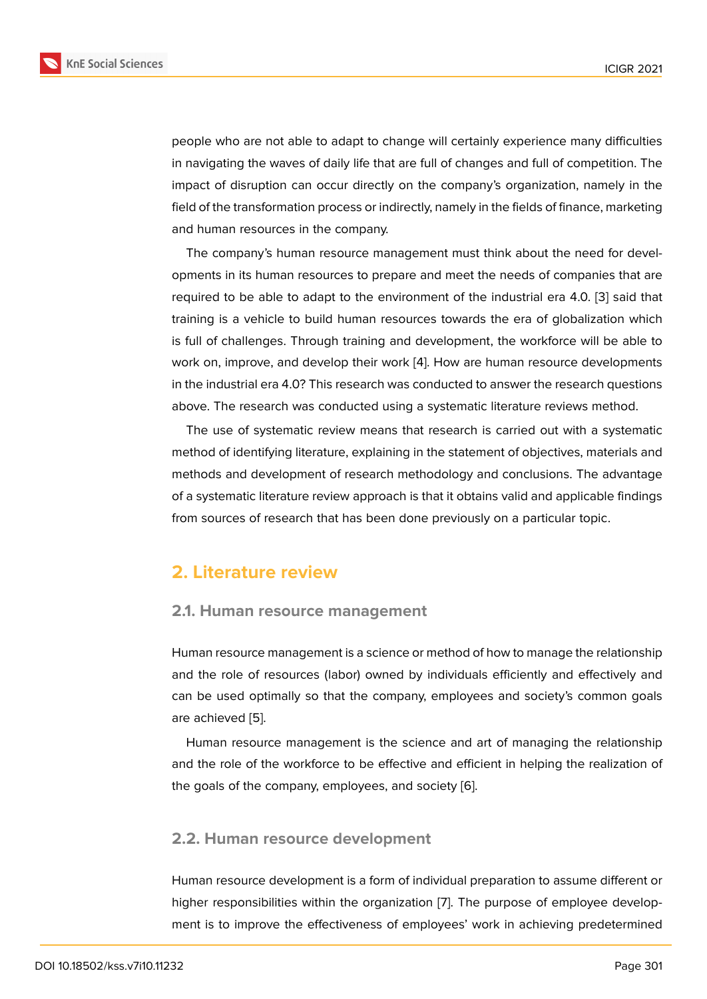people who are not able to adapt to change will certainly experience many difficulties in navigating the waves of daily life that are full of changes and full of competition. The impact of disruption can occur directly on the company's organization, namely in the field of the transformation process or indirectly, namely in the fields of finance, marketing and human resources in the company.

The company's human resource management must think about the need for developments in its human resources to prepare and meet the needs of companies that are required to be able to adapt to the environment of the industrial era 4.0. [3] said that training is a vehicle to build human resources towards the era of globalization which is full of challenges. Through training and development, the workforce will be able to work on, improve, and develop their work [4]. How are human resource de[ve](#page-9-1)lopments in the industrial era 4.0? This research was conducted to answer the research questions above. The research was conducted using a systematic literature reviews method.

The use of systematic review means th[at](#page-9-2) research is carried out with a systematic method of identifying literature, explaining in the statement of objectives, materials and methods and development of research methodology and conclusions. The advantage of a systematic literature review approach is that it obtains valid and applicable findings from sources of research that has been done previously on a particular topic.

### **2. Literature review**

### **2.1. Human resource management**

Human resource management is a science or method of how to manage the relationship and the role of resources (labor) owned by individuals efficiently and effectively and can be used optimally so that the company, employees and society's common goals are achieved [5].

Human resource management is the science and art of managing the relationship and the role of the workforce to be effective and efficient in helping the realization of the goals of t[he](#page-9-3) company, employees, and society [6].

### **2.2. Human resource development**

Human resource development is a form of individual preparation to assume different or higher responsibilities within the organization [7]. The purpose of employee development is to improve the effectiveness of employees' work in achieving predetermined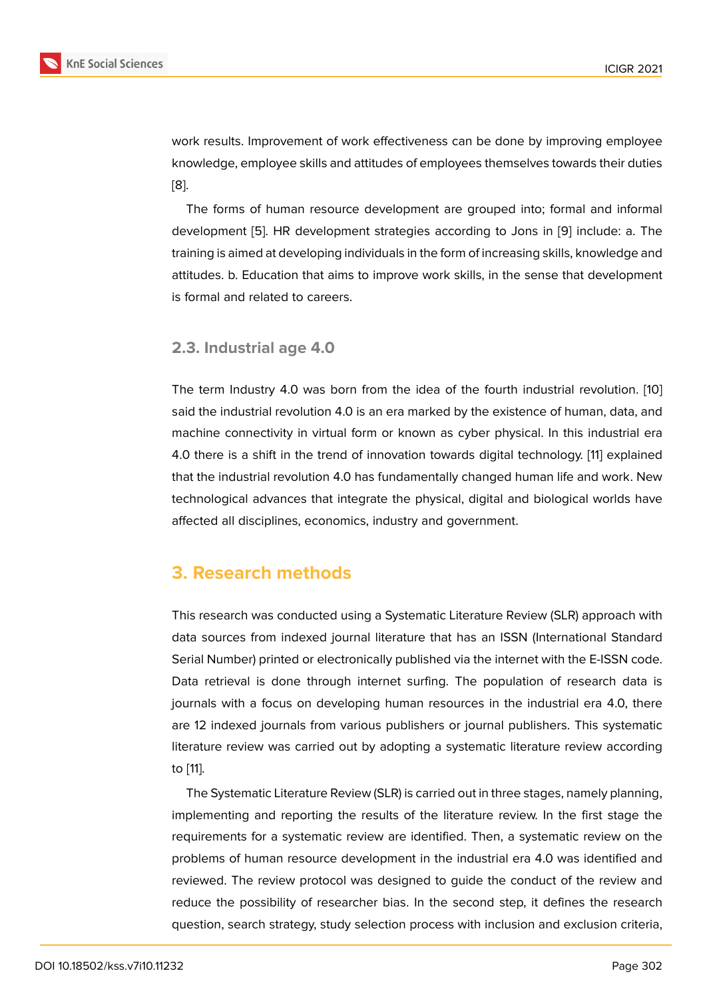work results. Improvement of work effectiveness can be done by improving employee knowledge, employee skills and attitudes of employees themselves towards their duties [8].

The forms of human resource development are grouped into; formal and informal development [5]. HR development strategies according to Jons in [9] include: a. The [tra](#page-9-4)ining is aimed at developing individuals in the form of increasing skills, knowledge and attitudes. b. Education that aims to improve work skills, in the sense that development is formal and r[el](#page-9-3)ated to careers.

### **2.3. Industrial age 4.0**

The term Industry 4.0 was born from the idea of the fourth industrial revolution. [10] said the industrial revolution 4.0 is an era marked by the existence of human, data, and machine connectivity in virtual form or known as cyber physical. In this industrial era 4.0 there is a shift in the trend of innovation towards digital technology. [11] explai[ned](#page-9-5) that the industrial revolution 4.0 has fundamentally changed human life and work. New technological advances that integrate the physical, digital and biological worlds have affected all disciplines, economics, industry and government.

### **3. Research methods**

This research was conducted using a Systematic Literature Review (SLR) approach with data sources from indexed journal literature that has an ISSN (International Standard Serial Number) printed or electronically published via the internet with the E-ISSN code. Data retrieval is done through internet surfing. The population of research data is journals with a focus on developing human resources in the industrial era 4.0, there are 12 indexed journals from various publishers or journal publishers. This systematic literature review was carried out by adopting a systematic literature review according to [11].

The Systematic Literature Review (SLR) is carried out in three stages, namely planning, implementing and reporting the results of the literature review. In the first stage the re[qui](#page-9-6)rements for a systematic review are identified. Then, a systematic review on the problems of human resource development in the industrial era 4.0 was identified and reviewed. The review protocol was designed to guide the conduct of the review and reduce the possibility of researcher bias. In the second step, it defines the research question, search strategy, study selection process with inclusion and exclusion criteria,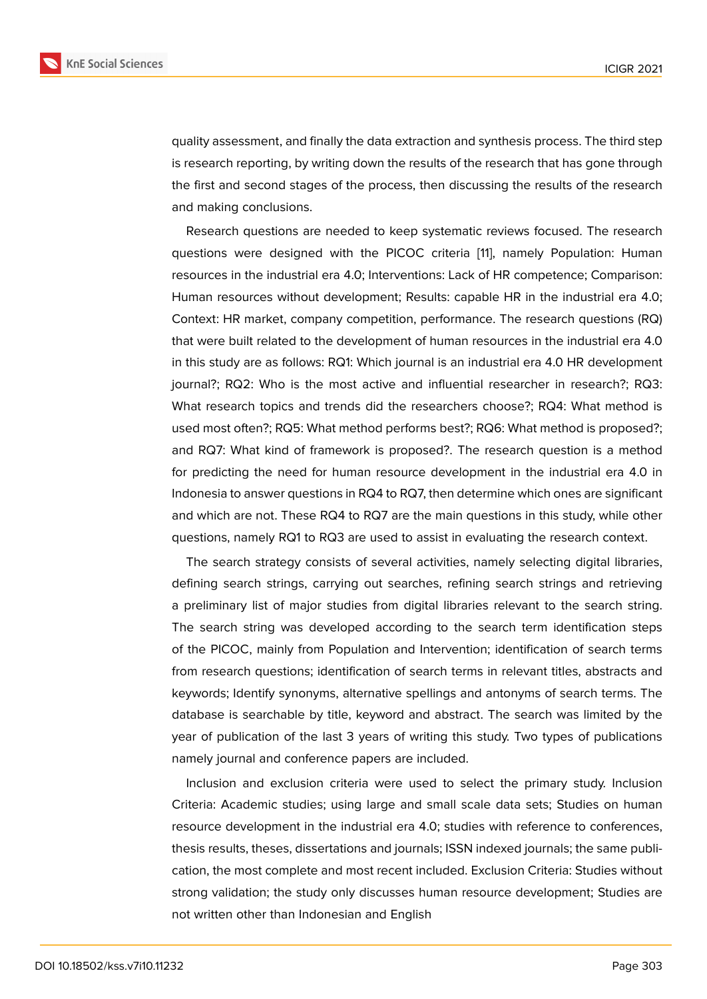quality assessment, and finally the data extraction and synthesis process. The third step is research reporting, by writing down the results of the research that has gone through the first and second stages of the process, then discussing the results of the research and making conclusions.

Research questions are needed to keep systematic reviews focused. The research questions were designed with the PICOC criteria [11], namely Population: Human resources in the industrial era 4.0; Interventions: Lack of HR competence; Comparison: Human resources without development; Results: capable HR in the industrial era 4.0; Context: HR market, company competition, performan[ce](#page-9-6). The research questions (RQ) that were built related to the development of human resources in the industrial era 4.0 in this study are as follows: RQ1: Which journal is an industrial era 4.0 HR development journal?; RQ2: Who is the most active and influential researcher in research?; RQ3: What research topics and trends did the researchers choose?; RQ4: What method is used most often?; RQ5: What method performs best?; RQ6: What method is proposed?; and RQ7: What kind of framework is proposed?. The research question is a method for predicting the need for human resource development in the industrial era 4.0 in Indonesia to answer questions in RQ4 to RQ7, then determine which ones are significant and which are not. These RQ4 to RQ7 are the main questions in this study, while other questions, namely RQ1 to RQ3 are used to assist in evaluating the research context.

The search strategy consists of several activities, namely selecting digital libraries, defining search strings, carrying out searches, refining search strings and retrieving a preliminary list of major studies from digital libraries relevant to the search string. The search string was developed according to the search term identification steps of the PICOC, mainly from Population and Intervention; identification of search terms from research questions; identification of search terms in relevant titles, abstracts and keywords; Identify synonyms, alternative spellings and antonyms of search terms. The database is searchable by title, keyword and abstract. The search was limited by the year of publication of the last 3 years of writing this study. Two types of publications namely journal and conference papers are included.

Inclusion and exclusion criteria were used to select the primary study. Inclusion Criteria: Academic studies; using large and small scale data sets; Studies on human resource development in the industrial era 4.0; studies with reference to conferences, thesis results, theses, dissertations and journals; ISSN indexed journals; the same publication, the most complete and most recent included. Exclusion Criteria: Studies without strong validation; the study only discusses human resource development; Studies are not written other than Indonesian and English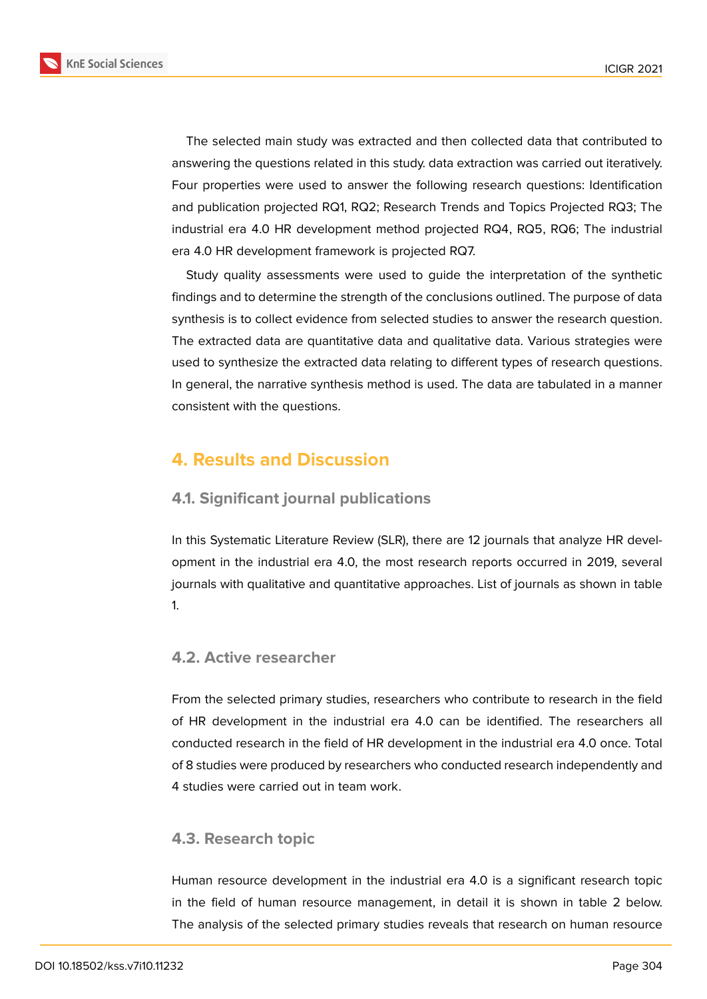

The selected main study was extracted and then collected data that contributed to answering the questions related in this study. data extraction was carried out iteratively. Four properties were used to answer the following research questions: Identification and publication projected RQ1, RQ2; Research Trends and Topics Projected RQ3; The industrial era 4.0 HR development method projected RQ4, RQ5, RQ6; The industrial era 4.0 HR development framework is projected RQ7.

Study quality assessments were used to guide the interpretation of the synthetic findings and to determine the strength of the conclusions outlined. The purpose of data synthesis is to collect evidence from selected studies to answer the research question. The extracted data are quantitative data and qualitative data. Various strategies were used to synthesize the extracted data relating to different types of research questions. In general, the narrative synthesis method is used. The data are tabulated in a manner consistent with the questions.

# **4. Results and Discussion**

### **4.1. Significant journal publications**

In this Systematic Literature Review (SLR), there are 12 journals that analyze HR development in the industrial era 4.0, the most research reports occurred in 2019, several journals with qualitative and quantitative approaches. List of journals as shown in table 1.

### **4.2. Active researcher**

From the selected primary studies, researchers who contribute to research in the field of HR development in the industrial era 4.0 can be identified. The researchers all conducted research in the field of HR development in the industrial era 4.0 once. Total of 8 studies were produced by researchers who conducted research independently and 4 studies were carried out in team work.

### **4.3. Research topic**

Human resource development in the industrial era 4.0 is a significant research topic in the field of human resource management, in detail it is shown in table 2 below. The analysis of the selected primary studies reveals that research on human resource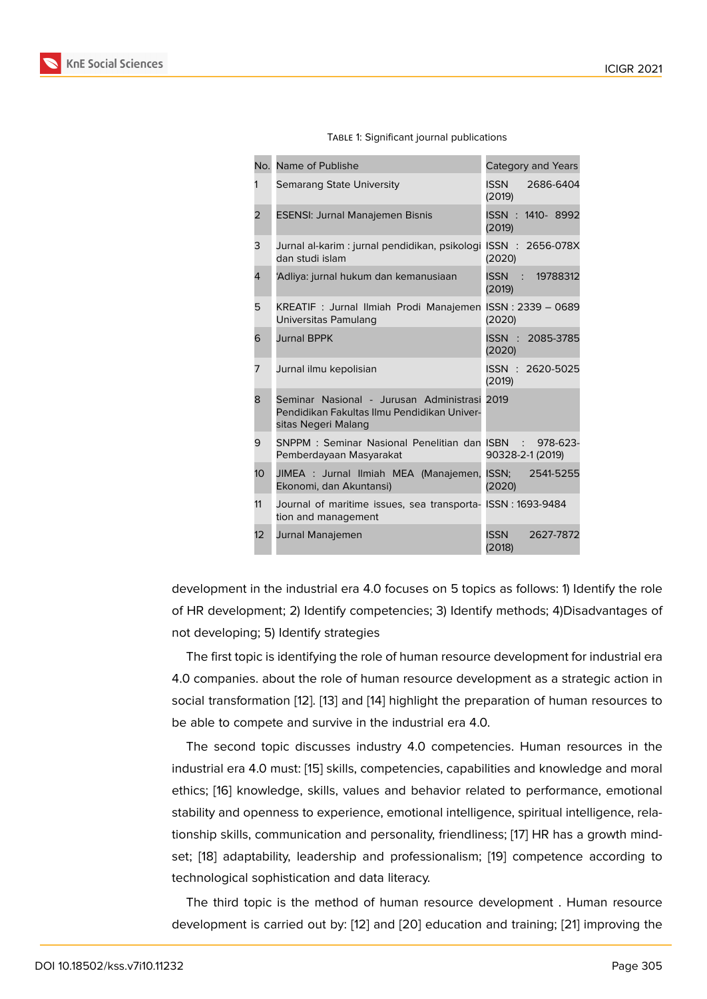|  | TABLE 1: Significant journal publications |
|--|-------------------------------------------|
|  |                                           |

| No.             | Name of Publishe                                                                                                   | Category and Years                            |
|-----------------|--------------------------------------------------------------------------------------------------------------------|-----------------------------------------------|
| 1               | Semarang State University                                                                                          | <b>ISSN</b><br>2686-6404<br>(2019)            |
| $\overline{2}$  | <b>ESENSI: Jurnal Manajemen Bisnis</b>                                                                             | ISSN: 1410-8992<br>(2019)                     |
| 3               | Jurnal al-karim : jurnal pendidikan, psikologi ISSN : 2656-078X<br>dan studi islam                                 | (2020)                                        |
| 4               | 'Adliya: jurnal hukum dan kemanusiaan                                                                              | ISSN : 19788312<br>(2019)                     |
| 5               | KREATIF: Jurnal Ilmiah Prodi Manajemen ISSN: 2339 - 0689<br>Universitas Pamulang                                   | (2020)                                        |
| 6               | <b>Jurnal BPPK</b>                                                                                                 | ISSN : 2085-3785<br>(2020)                    |
| 7               | Jurnal ilmu kepolisian                                                                                             | ISSN: 2620-5025<br>(2019)                     |
| 8               | Seminar Nasional - Jurusan Administrasi 2019<br>Pendidikan Fakultas Ilmu Pendidikan Univer-<br>sitas Negeri Malang |                                               |
| 9               | SNPPM: Seminar Nasional Penelitian dan ISBN<br>Pemberdayaan Masyarakat                                             | 978-623-<br>$\mathcal{L}$<br>90328-2-1 (2019) |
| 10 <sup>1</sup> | JIMEA : Jurnal Ilmiah MEA (Manajemen,<br>Ekonomi, dan Akuntansi)                                                   | ISSN: 2541-5255<br>(2020)                     |
| 11              | Journal of maritime issues, sea transporta- ISSN : 1693-9484<br>tion and management                                |                                               |
| 12              | Jurnal Manajemen                                                                                                   | <b>ISSN</b><br>2627-7872<br>(2018)            |

development in the industrial era 4.0 focuses on 5 topics as follows: 1) Identify the role of HR development; 2) Identify competencies; 3) Identify methods; 4)Disadvantages of not developing; 5) Identify strategies

The first topic is identifying the role of human resource development for industrial era 4.0 companies. about the role of human resource development as a strategic action in social transformation [12]. [13] and [14] highlight the preparation of human resources to be able to compete and survive in the industrial era 4.0.

The second topic discusses industry 4.0 competencies. Human resources in the industrial era 4.0 must[: \[1](#page-9-7)5[\] sk](#page-9-8)ills, c[om](#page-9-9)petencies, capabilities and knowledge and moral ethics; [16] knowledge, skills, values and behavior related to performance, emotional stability and openness to experience, emotional intelligence, spiritual intelligence, relationship skills, communi[cat](#page-9-10)ion and personality, friendliness; [17] HR has a growth mindset; [18] [a](#page-9-11)daptability, leadership and professionalism; [19] competence according to technological sophistication and data literacy.

The third topic is the method of human resource devel[opm](#page-10-0)ent . Human resource deve[lop](#page-10-1)ment is carried out by: [12] and [20] education [and](#page-10-2) training; [21] improving the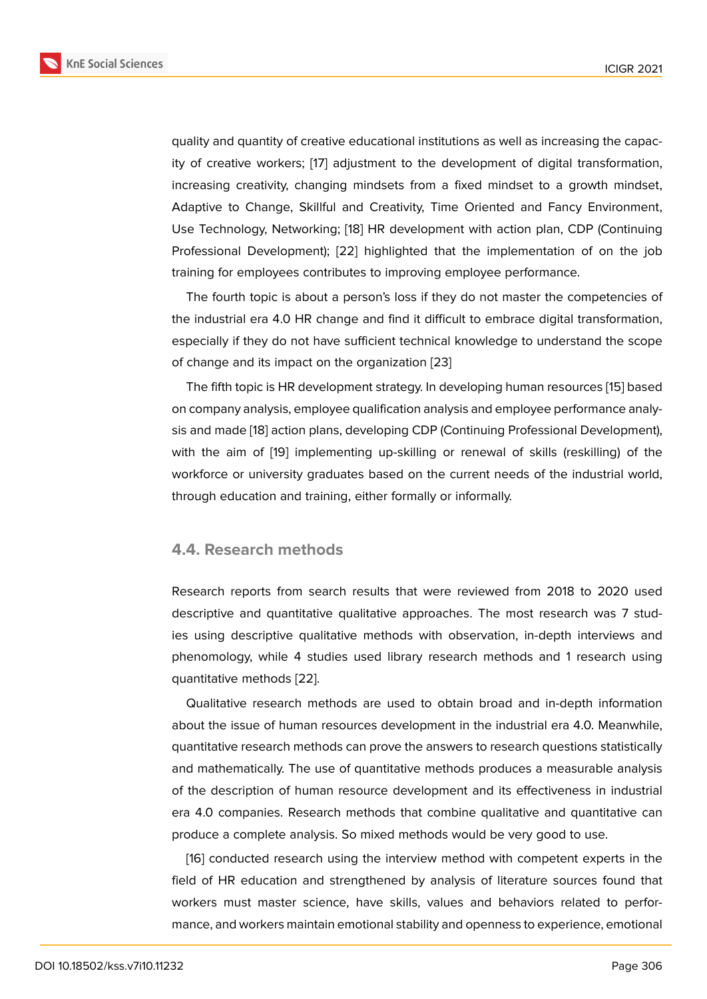quality and quantity of creative educational institutions as well as increasing the capacity of creative workers; [17] adjustment to the development of digital transformation, increasing creativity, changing mindsets from a fixed mindset to a growth mindset, Adaptive to Change, Skillful and Creativity, Time Oriented and Fancy Environment, Use Technology, Networ[kin](#page-10-0)g; [18] HR development with action plan, CDP (Continuing Professional Development); [22] highlighted that the implementation of on the job training for employees contributes to improving employee performance.

The fourth topic is about a [per](#page-10-1)son's loss if they do not master the competencies of the industrial era 4.0 HR cha[nge](#page-10-3) and find it difficult to embrace digital transformation, especially if they do not have sufficient technical knowledge to understand the scope of change and its impact on the organization [23]

The fifth topic is HR development strategy. In developing human resources [15] based on company analysis, employee qualification analysis and employee performance analysis and made [18] action plans, developing CDP (Continuing Professional Development), with the aim of [19] implementing up-skilling or renewal of skills (reskilli[ng\)](#page-9-10) of the workforce or university graduates based on the current needs of the industrial world, through educ[atio](#page-10-1)n and training, either formally or informally.

#### **4.4. Research methods**

Research reports from search results that were reviewed from 2018 to 2020 used descriptive and quantitative qualitative approaches. The most research was 7 studies using descriptive qualitative methods with observation, in-depth interviews and phenomology, while 4 studies used library research methods and 1 research using quantitative methods [22].

Qualitative research methods are used to obtain broad and in-depth information about the issue of human resources development in the industrial era 4.0. Meanwhile, quantitative research [met](#page-10-3)hods can prove the answers to research questions statistically and mathematically. The use of quantitative methods produces a measurable analysis of the description of human resource development and its effectiveness in industrial era 4.0 companies. Research methods that combine qualitative and quantitative can produce a complete analysis. So mixed methods would be very good to use.

[16] conducted research using the interview method with competent experts in the field of HR education and strengthened by analysis of literature sources found that workers must master science, have skills, values and behaviors related to performa[nc](#page-9-11)e, and workers maintain emotional stability and openness to experience, emotional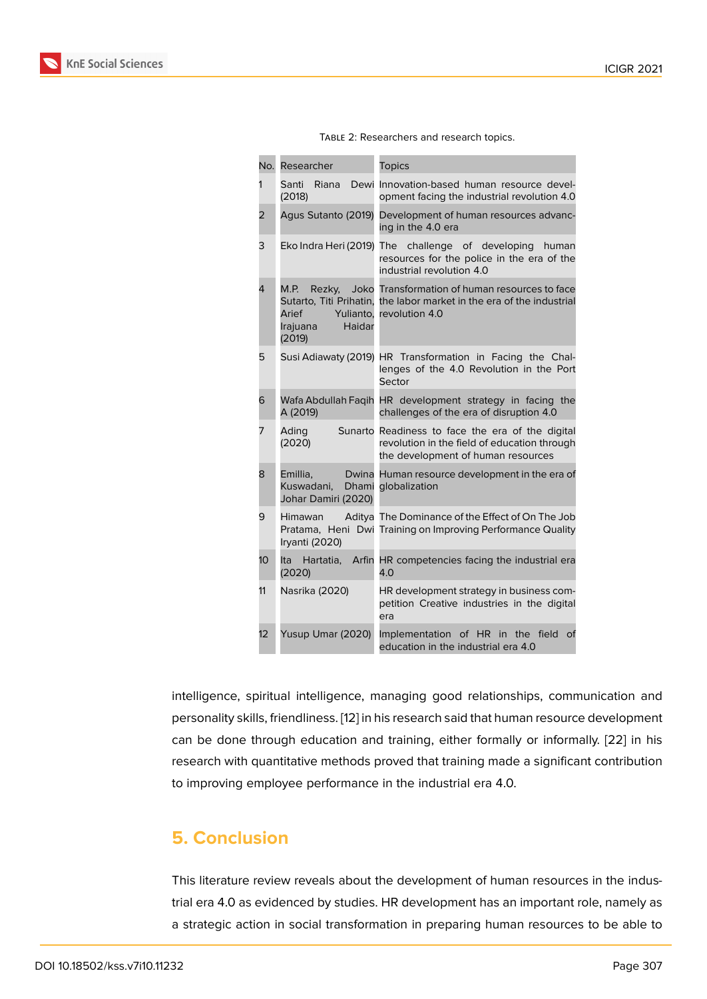| TABLE 2: Researchers and research topics. |
|-------------------------------------------|
|-------------------------------------------|

| No. | Researcher                                                                                      | <b>Topics</b>                                                                                                                          |
|-----|-------------------------------------------------------------------------------------------------|----------------------------------------------------------------------------------------------------------------------------------------|
| 1   | Riana<br>Dewi<br>Santi<br>(2018)                                                                | Innovation-based human resource devel-<br>opment facing the industrial revolution 4.0                                                  |
| 2   | Agus Sutanto (2019)                                                                             | Development of human resources advanc-<br>ing in the 4.0 era                                                                           |
| 3   | Eko Indra Heri (2019)                                                                           | challenge of developing<br>The<br>human<br>resources for the police in the era of the<br>industrial revolution 4.0                     |
| 4   | M.P.<br>Rezky,<br>Sutarto, Titi Prihatin,<br>Yulianto,<br>Arief<br>Haidar<br>Irajuana<br>(2019) | Joko Transformation of human resources to face<br>the labor market in the era of the industrial<br>revolution 4.0                      |
| 5   | Susi Adiawaty (2019)                                                                            | HR Transformation in Facing the Chal-<br>lenges of the 4.0 Revolution in the Port<br>Sector                                            |
| 6   | A (2019)                                                                                        | Wafa Abdullah Fagih HR development strategy in facing the<br>challenges of the era of disruption 4.0                                   |
| 7   | Ading<br>(2020)                                                                                 | Sunarto Readiness to face the era of the digital<br>revolution in the field of education through<br>the development of human resources |
| 8   | Emillia,<br>Kuswadani,<br>Dhami<br>Johar Damiri (2020)                                          | Dwina Human resource development in the era of<br>globalization                                                                        |
| 9   | <b>Himawan</b><br>Iryanti (2020)                                                                | Aditya The Dominance of the Effect of On The Job<br>Pratama, Heni Dwi Training on Improving Performance Quality                        |
| 10  | Arfin<br>Ita<br>Hartatia,<br>(2020)                                                             | HR competencies facing the industrial era<br>4.0                                                                                       |
| 11  | Nasrika (2020)                                                                                  | HR development strategy in business com-<br>petition Creative industries in the digital<br>era                                         |
| 12  | Yusup Umar (2020)                                                                               | Implementation<br>of HR<br>the<br>field<br>of<br>in<br>education in the industrial era 4.0                                             |

intelligence, spiritual intelligence, managing good relationships, communication and personality skills, friendliness. [12] in his research said that human resource development can be done through education and training, either formally or informally. [22] in his research with quantitative methods proved that training made a significant contribution to improving employee perfor[ma](#page-9-7)nce in the industrial era 4.0.

# **5. Conclusion**

This literature review reveals about the development of human resources in the industrial era 4.0 as evidenced by studies. HR development has an important role, namely as a strategic action in social transformation in preparing human resources to be able to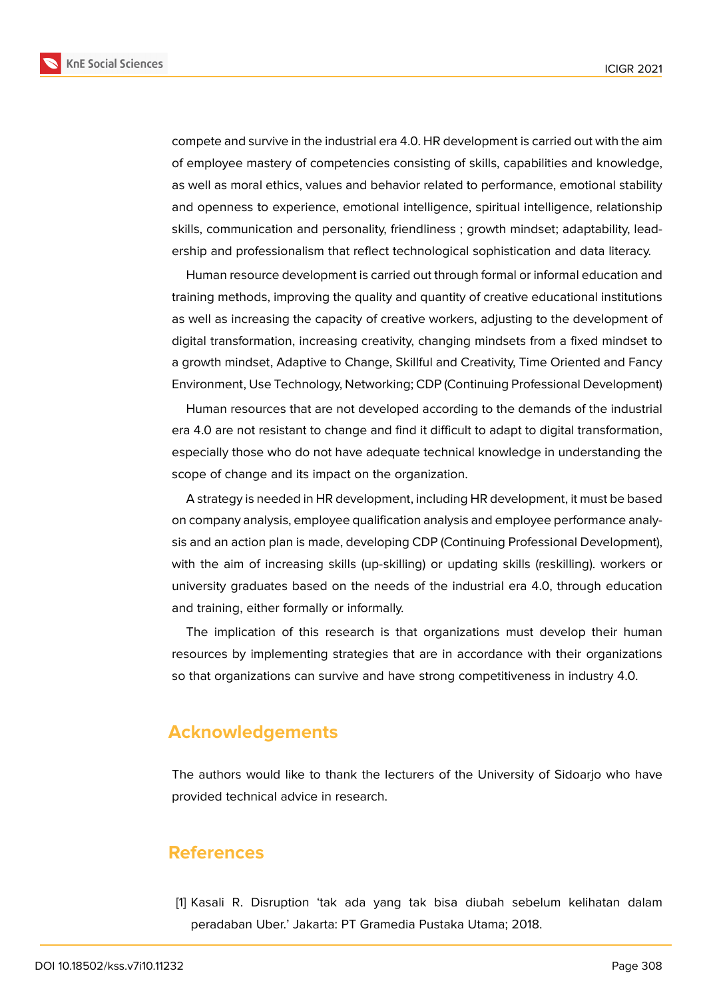**KnE Social Sciences** 



compete and survive in the industrial era 4.0. HR development is carried out with the aim of employee mastery of competencies consisting of skills, capabilities and knowledge, as well as moral ethics, values and behavior related to performance, emotional stability and openness to experience, emotional intelligence, spiritual intelligence, relationship skills, communication and personality, friendliness ; growth mindset; adaptability, lead-

Human resource development is carried out through formal or informal education and training methods, improving the quality and quantity of creative educational institutions as well as increasing the capacity of creative workers, adjusting to the development of digital transformation, increasing creativity, changing mindsets from a fixed mindset to a growth mindset, Adaptive to Change, Skillful and Creativity, Time Oriented and Fancy Environment, Use Technology, Networking; CDP (Continuing Professional Development)

ership and professionalism that reflect technological sophistication and data literacy.

Human resources that are not developed according to the demands of the industrial era 4.0 are not resistant to change and find it difficult to adapt to digital transformation, especially those who do not have adequate technical knowledge in understanding the scope of change and its impact on the organization.

A strategy is needed in HR development, including HR development, it must be based on company analysis, employee qualification analysis and employee performance analysis and an action plan is made, developing CDP (Continuing Professional Development), with the aim of increasing skills (up-skilling) or updating skills (reskilling). workers or university graduates based on the needs of the industrial era 4.0, through education and training, either formally or informally.

The implication of this research is that organizations must develop their human resources by implementing strategies that are in accordance with their organizations so that organizations can survive and have strong competitiveness in industry 4.0.

## **Acknowledgements**

The authors would like to thank the lecturers of the University of Sidoarjo who have provided technical advice in research.

### **References**

<span id="page-8-0"></span>[1] Kasali R. Disruption 'tak ada yang tak bisa diubah sebelum kelihatan dalam peradaban Uber.' Jakarta: PT Gramedia Pustaka Utama; 2018.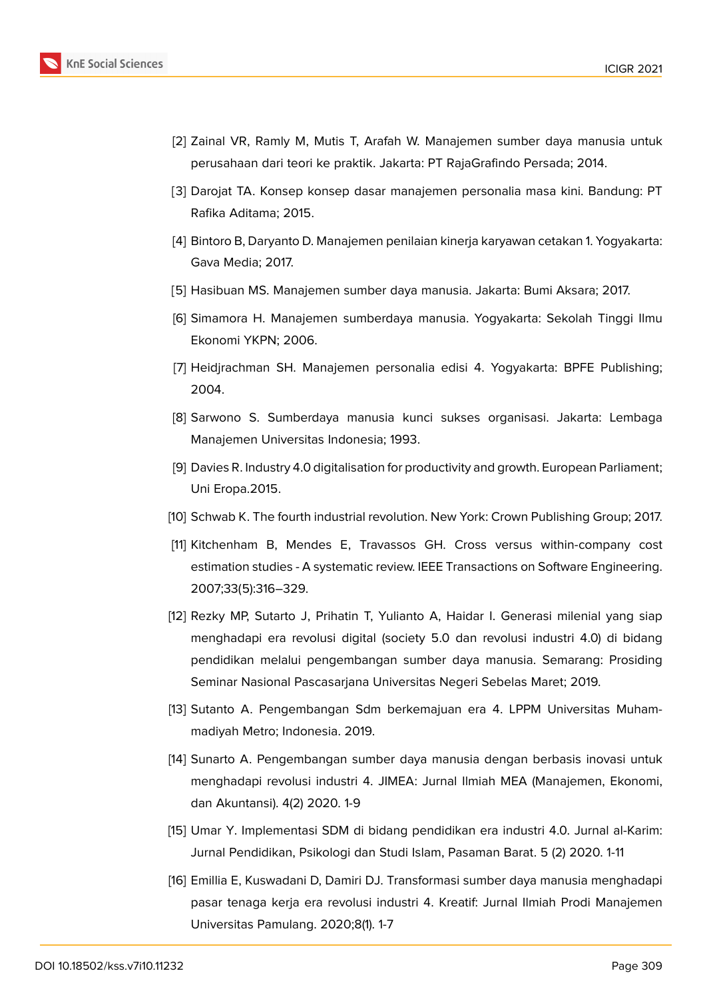

- <span id="page-9-0"></span>[2] Zainal VR, Ramly M, Mutis T, Arafah W. Manajemen sumber daya manusia untuk perusahaan dari teori ke praktik. Jakarta: PT RajaGrafindo Persada; 2014.
- <span id="page-9-1"></span>[3] Darojat TA. Konsep konsep dasar manajemen personalia masa kini. Bandung: PT Rafika Aditama; 2015.
- <span id="page-9-2"></span>[4] Bintoro B, Daryanto D. Manajemen penilaian kinerja karyawan cetakan 1. Yogyakarta: Gava Media; 2017.
- <span id="page-9-3"></span>[5] Hasibuan MS. Manajemen sumber daya manusia. Jakarta: Bumi Aksara; 2017.
- [6] Simamora H. Manajemen sumberdaya manusia. Yogyakarta: Sekolah Tinggi Ilmu Ekonomi YKPN; 2006.
- [7] Heidjrachman SH. Manajemen personalia edisi 4. Yogyakarta: BPFE Publishing; 2004.
- <span id="page-9-4"></span>[8] Sarwono S. Sumberdaya manusia kunci sukses organisasi. Jakarta: Lembaga Manajemen Universitas Indonesia; 1993.
- [9] Davies R. Industry 4.0 digitalisation for productivity and growth. European Parliament; Uni Eropa.2015.
- <span id="page-9-5"></span>[10] Schwab K. The fourth industrial revolution. New York: Crown Publishing Group; 2017.
- <span id="page-9-6"></span>[11] Kitchenham B, Mendes E, Travassos GH. Cross versus within-company cost estimation studies - A systematic review. IEEE Transactions on Software Engineering. 2007;33(5):316–329.
- <span id="page-9-7"></span>[12] Rezky MP, Sutarto J, Prihatin T, Yulianto A, Haidar I. Generasi milenial yang siap menghadapi era revolusi digital (society 5.0 dan revolusi industri 4.0) di bidang pendidikan melalui pengembangan sumber daya manusia. Semarang: Prosiding Seminar Nasional Pascasarjana Universitas Negeri Sebelas Maret; 2019.
- <span id="page-9-8"></span>[13] Sutanto A. Pengembangan Sdm berkemajuan era 4. LPPM Universitas Muhammadiyah Metro; Indonesia. 2019.
- <span id="page-9-9"></span>[14] Sunarto A. Pengembangan sumber daya manusia dengan berbasis inovasi untuk menghadapi revolusi industri 4. JIMEA: Jurnal Ilmiah MEA (Manajemen, Ekonomi, dan Akuntansi). 4(2) 2020. 1-9
- <span id="page-9-10"></span>[15] Umar Y. Implementasi SDM di bidang pendidikan era industri 4.0. Jurnal al-Karim: Jurnal Pendidikan, Psikologi dan Studi Islam, Pasaman Barat. 5 (2) 2020. 1-11
- <span id="page-9-11"></span>[16] Emillia E, Kuswadani D, Damiri DJ. Transformasi sumber daya manusia menghadapi pasar tenaga kerja era revolusi industri 4. Kreatif: Jurnal Ilmiah Prodi Manajemen Universitas Pamulang. 2020;8(1). 1-7